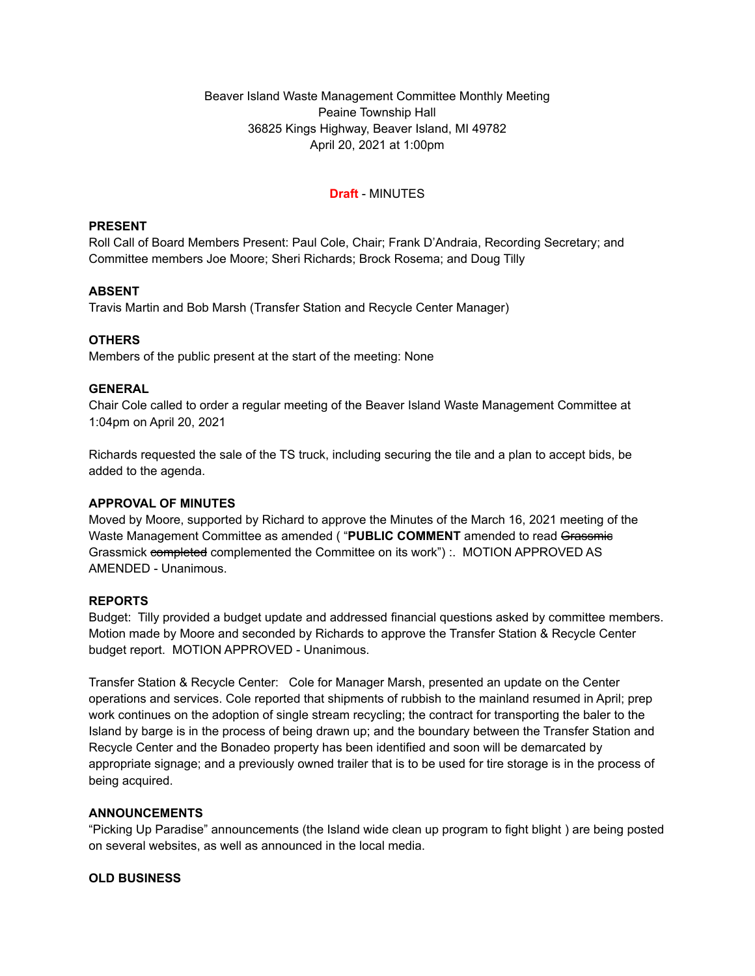Beaver Island Waste Management Committee Monthly Meeting Peaine Township Hall 36825 Kings Highway, Beaver Island, MI 49782 April 20, 2021 at 1:00pm

# **Draft** - MINUTES

## **PRESENT**

Roll Call of Board Members Present: Paul Cole, Chair; Frank D'Andraia, Recording Secretary; and Committee members Joe Moore; Sheri Richards; Brock Rosema; and Doug Tilly

# **ABSENT**

Travis Martin and Bob Marsh (Transfer Station and Recycle Center Manager)

## **OTHERS**

Members of the public present at the start of the meeting: None

## **GENERAL**

Chair Cole called to order a regular meeting of the Beaver Island Waste Management Committee at 1:04pm on April 20, 2021

Richards requested the sale of the TS truck, including securing the tile and a plan to accept bids, be added to the agenda.

### **APPROVAL OF MINUTES**

Moved by Moore, supported by Richard to approve the Minutes of the March 16, 2021 meeting of the Waste Management Committee as amended ( "**PUBLIC COMMENT** amended to read Grassmic Grassmick completed complemented the Committee on its work") :. MOTION APPROVED AS AMENDED - Unanimous.

#### **REPORTS**

Budget: Tilly provided a budget update and addressed financial questions asked by committee members. Motion made by Moore and seconded by Richards to approve the Transfer Station & Recycle Center budget report. MOTION APPROVED - Unanimous.

Transfer Station & Recycle Center: Cole for Manager Marsh, presented an update on the Center operations and services. Cole reported that shipments of rubbish to the mainland resumed in April; prep work continues on the adoption of single stream recycling; the contract for transporting the baler to the Island by barge is in the process of being drawn up; and the boundary between the Transfer Station and Recycle Center and the Bonadeo property has been identified and soon will be demarcated by appropriate signage; and a previously owned trailer that is to be used for tire storage is in the process of being acquired.

# **ANNOUNCEMENTS**

"Picking Up Paradise" announcements (the Island wide clean up program to fight blight ) are being posted on several websites, as well as announced in the local media.

#### **OLD BUSINESS**